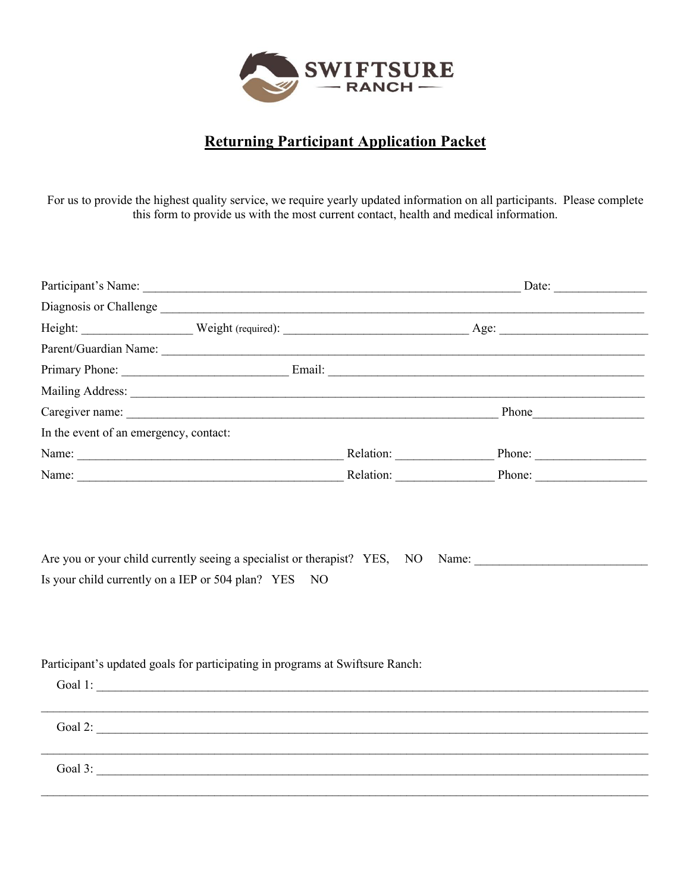

# **Returning Participant Application Packet**

For us to provide the highest quality service, we require yearly updated information on all participants. Please complete this form to provide us with the most current contact, health and medical information.

|                                                                                                                                                                                                                                | Date: $\qquad \qquad$ |
|--------------------------------------------------------------------------------------------------------------------------------------------------------------------------------------------------------------------------------|-----------------------|
| Diagnosis or Challenge                                                                                                                                                                                                         |                       |
|                                                                                                                                                                                                                                |                       |
| Parent/Guardian Name:                                                                                                                                                                                                          |                       |
|                                                                                                                                                                                                                                |                       |
|                                                                                                                                                                                                                                |                       |
|                                                                                                                                                                                                                                |                       |
| In the event of an emergency, contact:                                                                                                                                                                                         |                       |
|                                                                                                                                                                                                                                |                       |
| Name: Name: Name: Name: Name: Nelation: Nelation: Nelation: Nelation: Nelation: Nelson Phone: Nelson Phone: Nelson Phone: Nelson Phone: Nelson Phone: Nelson Phone: Nelson Phone: Nelson Phone: Nelson Phone: Nelson Phone: Ne |                       |
| Is your child currently on a IEP or 504 plan? YES NO                                                                                                                                                                           |                       |
| Participant's updated goals for participating in programs at Swiftsure Ranch:                                                                                                                                                  |                       |
| Goal 2:                                                                                                                                                                                                                        |                       |
|                                                                                                                                                                                                                                |                       |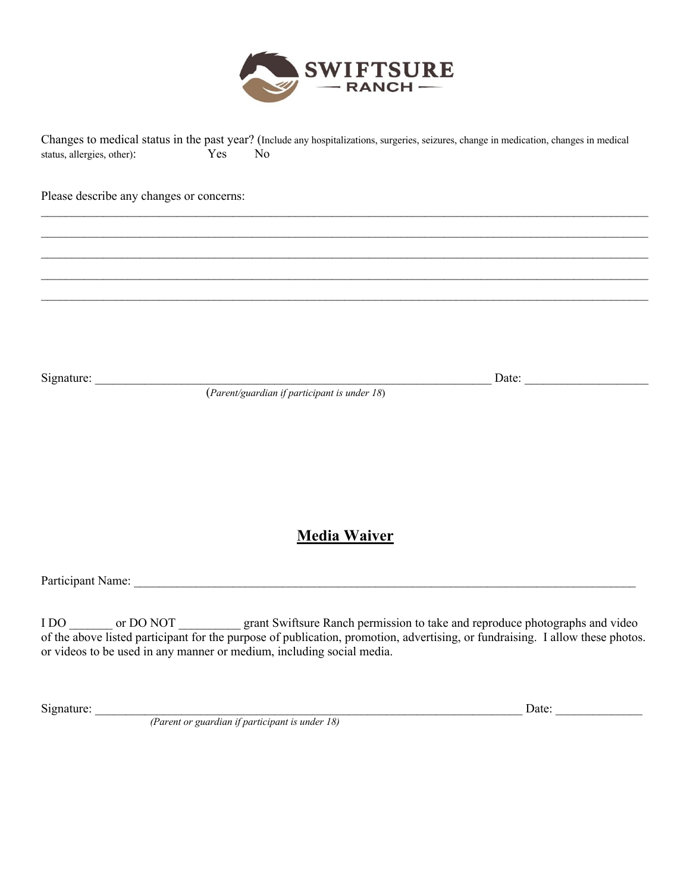

Changes to medical status in the past year? (Include any hospitalizations, surgeries, seizures, change in medication, changes in medical status, allergies, other): Yes No

 $\mathcal{L}_\mathcal{L} = \mathcal{L}_\mathcal{L} = \mathcal{L}_\mathcal{L} = \mathcal{L}_\mathcal{L} = \mathcal{L}_\mathcal{L} = \mathcal{L}_\mathcal{L} = \mathcal{L}_\mathcal{L} = \mathcal{L}_\mathcal{L} = \mathcal{L}_\mathcal{L} = \mathcal{L}_\mathcal{L} = \mathcal{L}_\mathcal{L} = \mathcal{L}_\mathcal{L} = \mathcal{L}_\mathcal{L} = \mathcal{L}_\mathcal{L} = \mathcal{L}_\mathcal{L} = \mathcal{L}_\mathcal{L} = \mathcal{L}_\mathcal{L}$  $\mathcal{L}_\mathcal{L} = \mathcal{L}_\mathcal{L} = \mathcal{L}_\mathcal{L} = \mathcal{L}_\mathcal{L} = \mathcal{L}_\mathcal{L} = \mathcal{L}_\mathcal{L} = \mathcal{L}_\mathcal{L} = \mathcal{L}_\mathcal{L} = \mathcal{L}_\mathcal{L} = \mathcal{L}_\mathcal{L} = \mathcal{L}_\mathcal{L} = \mathcal{L}_\mathcal{L} = \mathcal{L}_\mathcal{L} = \mathcal{L}_\mathcal{L} = \mathcal{L}_\mathcal{L} = \mathcal{L}_\mathcal{L} = \mathcal{L}_\mathcal{L}$  $\mathcal{L}_\mathcal{L} = \mathcal{L}_\mathcal{L} = \mathcal{L}_\mathcal{L} = \mathcal{L}_\mathcal{L} = \mathcal{L}_\mathcal{L} = \mathcal{L}_\mathcal{L} = \mathcal{L}_\mathcal{L} = \mathcal{L}_\mathcal{L} = \mathcal{L}_\mathcal{L} = \mathcal{L}_\mathcal{L} = \mathcal{L}_\mathcal{L} = \mathcal{L}_\mathcal{L} = \mathcal{L}_\mathcal{L} = \mathcal{L}_\mathcal{L} = \mathcal{L}_\mathcal{L} = \mathcal{L}_\mathcal{L} = \mathcal{L}_\mathcal{L}$  $\mathcal{L}_\mathcal{L} = \mathcal{L}_\mathcal{L} = \mathcal{L}_\mathcal{L} = \mathcal{L}_\mathcal{L} = \mathcal{L}_\mathcal{L} = \mathcal{L}_\mathcal{L} = \mathcal{L}_\mathcal{L} = \mathcal{L}_\mathcal{L} = \mathcal{L}_\mathcal{L} = \mathcal{L}_\mathcal{L} = \mathcal{L}_\mathcal{L} = \mathcal{L}_\mathcal{L} = \mathcal{L}_\mathcal{L} = \mathcal{L}_\mathcal{L} = \mathcal{L}_\mathcal{L} = \mathcal{L}_\mathcal{L} = \mathcal{L}_\mathcal{L}$  $\mathcal{L}_\mathcal{L} = \mathcal{L}_\mathcal{L} = \mathcal{L}_\mathcal{L} = \mathcal{L}_\mathcal{L} = \mathcal{L}_\mathcal{L} = \mathcal{L}_\mathcal{L} = \mathcal{L}_\mathcal{L} = \mathcal{L}_\mathcal{L} = \mathcal{L}_\mathcal{L} = \mathcal{L}_\mathcal{L} = \mathcal{L}_\mathcal{L} = \mathcal{L}_\mathcal{L} = \mathcal{L}_\mathcal{L} = \mathcal{L}_\mathcal{L} = \mathcal{L}_\mathcal{L} = \mathcal{L}_\mathcal{L} = \mathcal{L}_\mathcal{L}$ 

Please describe any changes or concerns:

Signature: \_\_\_\_\_\_\_\_\_\_\_\_\_\_\_\_\_\_\_\_\_\_\_\_\_\_\_\_\_\_\_\_\_\_\_\_\_\_\_\_\_\_\_\_\_\_\_\_\_\_\_\_\_\_\_\_\_\_\_\_\_\_\_\_ Date: \_\_\_\_\_\_\_\_\_\_\_\_\_\_\_\_\_\_\_\_

(*Parent/guardian if participant is under 18*)

### **Media Waiver**

Participant Name: \_\_\_\_\_\_\_\_\_\_\_\_\_\_\_\_\_\_\_\_\_\_\_\_\_\_\_\_\_\_\_\_\_\_\_\_\_\_\_\_\_\_\_\_\_\_\_\_\_\_\_\_\_\_\_\_\_\_\_\_\_\_\_\_\_\_\_\_\_\_\_\_\_\_\_\_\_\_\_\_\_

I DO \_\_\_\_\_\_\_ or DO NOT \_\_\_\_\_\_\_\_\_\_\_ grant Swiftsure Ranch permission to take and reproduce photographs and video of the above listed participant for the purpose of publication, promotion, advertising, or fundraising. I allow these photos. or videos to be used in any manner or medium, including social media.

Signature: \_\_\_\_\_\_\_\_\_\_\_\_\_\_\_\_\_\_\_\_\_\_\_\_\_\_\_\_\_\_\_\_\_\_\_\_\_\_\_\_\_\_\_\_\_\_\_\_\_\_\_\_\_\_\_\_\_\_\_\_\_\_\_\_\_\_\_\_\_ Date: \_\_\_\_\_\_\_\_\_\_\_\_\_\_ *(Parent or guardian if participant is under 18)*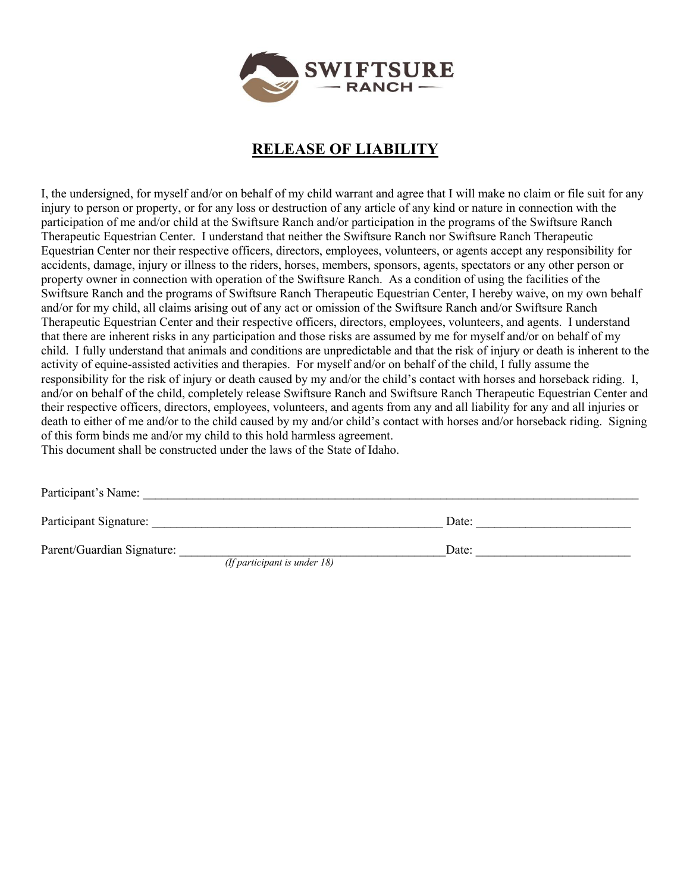

## **RELEASE OF LIABILITY**

I, the undersigned, for myself and/or on behalf of my child warrant and agree that I will make no claim or file suit for any injury to person or property, or for any loss or destruction of any article of any kind or nature in connection with the participation of me and/or child at the Swiftsure Ranch and/or participation in the programs of the Swiftsure Ranch Therapeutic Equestrian Center. I understand that neither the Swiftsure Ranch nor Swiftsure Ranch Therapeutic Equestrian Center nor their respective officers, directors, employees, volunteers, or agents accept any responsibility for accidents, damage, injury or illness to the riders, horses, members, sponsors, agents, spectators or any other person or property owner in connection with operation of the Swiftsure Ranch. As a condition of using the facilities of the Swiftsure Ranch and the programs of Swiftsure Ranch Therapeutic Equestrian Center, I hereby waive, on my own behalf and/or for my child, all claims arising out of any act or omission of the Swiftsure Ranch and/or Swiftsure Ranch Therapeutic Equestrian Center and their respective officers, directors, employees, volunteers, and agents. I understand that there are inherent risks in any participation and those risks are assumed by me for myself and/or on behalf of my child. I fully understand that animals and conditions are unpredictable and that the risk of injury or death is inherent to the activity of equine-assisted activities and therapies. For myself and/or on behalf of the child, I fully assume the responsibility for the risk of injury or death caused by my and/or the child's contact with horses and horseback riding. I, and/or on behalf of the child, completely release Swiftsure Ranch and Swiftsure Ranch Therapeutic Equestrian Center and their respective officers, directors, employees, volunteers, and agents from any and all liability for any and all injuries or death to either of me and/or to the child caused by my and/or child's contact with horses and/or horseback riding. Signing of this form binds me and/or my child to this hold harmless agreement. This document shall be constructed under the laws of the State of Idaho.

| Participant's Name:        |                                 |       |  |
|----------------------------|---------------------------------|-------|--|
| Participant Signature:     |                                 | Date: |  |
| Parent/Guardian Signature: |                                 | Date: |  |
|                            | (If participant is under $18$ ) |       |  |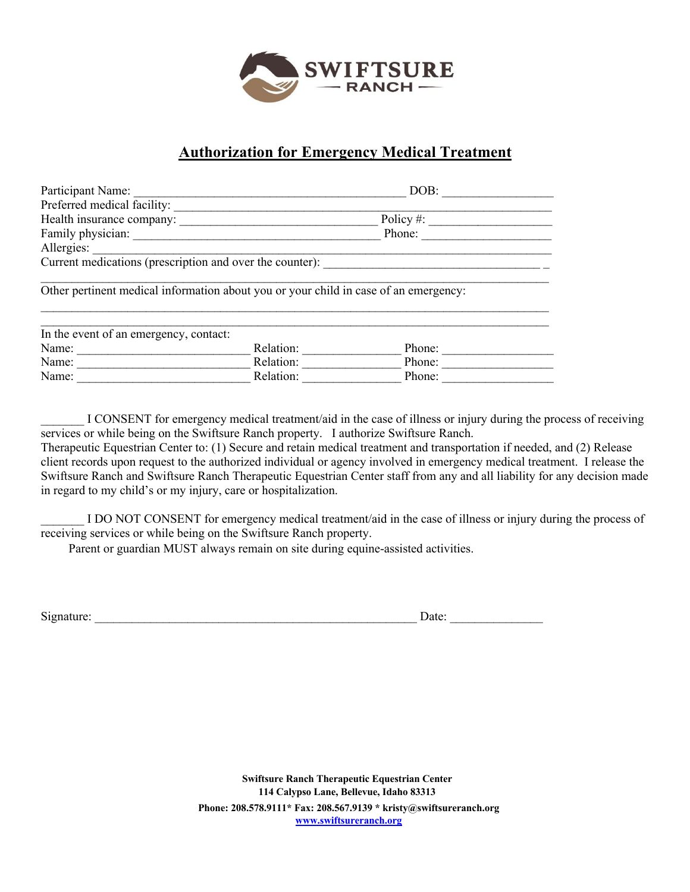

#### **Authorization for Emergency Medical Treatment**

| Participant Name:                                                                    |           | DOB:         |  |
|--------------------------------------------------------------------------------------|-----------|--------------|--|
| Preferred medical facility:                                                          |           |              |  |
|                                                                                      |           | Policy $#$ : |  |
| Family physician:                                                                    |           | Phone:       |  |
| Allergies:                                                                           |           |              |  |
| Current medications (prescription and over the counter):                             |           |              |  |
|                                                                                      |           |              |  |
| Other pertinent medical information about you or your child in case of an emergency: |           |              |  |
|                                                                                      |           |              |  |
|                                                                                      |           |              |  |
| In the event of an emergency, contact:                                               |           |              |  |
| Name:                                                                                | Relation: | Phone:       |  |
| Name:                                                                                | Relation: | Phone:       |  |
| Name:                                                                                | Relation: | Phone:       |  |

I CONSENT for emergency medical treatment/aid in the case of illness or injury during the process of receiving services or while being on the Swiftsure Ranch property. I authorize Swiftsure Ranch.

Therapeutic Equestrian Center to: (1) Secure and retain medical treatment and transportation if needed, and (2) Release client records upon request to the authorized individual or agency involved in emergency medical treatment. I release the Swiftsure Ranch and Swiftsure Ranch Therapeutic Equestrian Center staff from any and all liability for any decision made in regard to my child's or my injury, care or hospitalization.

I DO NOT CONSENT for emergency medical treatment/aid in the case of illness or injury during the process of receiving services or while being on the Swiftsure Ranch property.

Parent or guardian MUST always remain on site during equine-assisted activities.

Signature: \_\_\_\_\_\_\_\_\_\_\_\_\_\_\_\_\_\_\_\_\_\_\_\_\_\_\_\_\_\_\_\_\_\_\_\_\_\_\_\_\_\_\_\_\_\_\_\_\_\_\_\_ Date: \_\_\_\_\_\_\_\_\_\_\_\_\_\_\_

 **Swiftsure Ranch Therapeutic Equestrian Center 114 Calypso Lane, Bellevue, Idaho 83313 Phone: 208.578.9111\* Fax: 208.567.9139 \* kristy@swiftsureranch.org www.swiftsureranch.org**